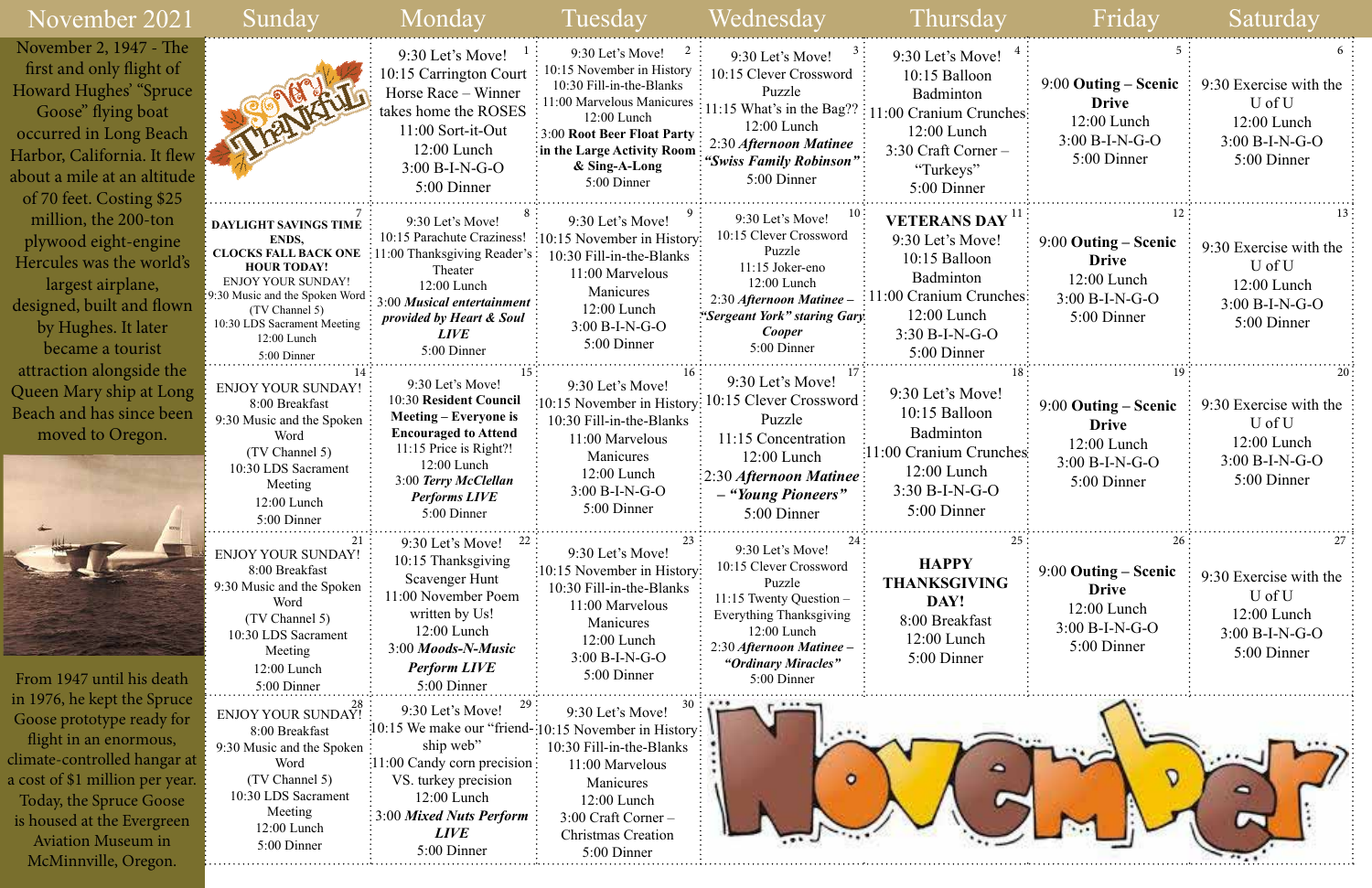| 4           | כ                                                                                                           | 6                                                                                        |
|-------------|-------------------------------------------------------------------------------------------------------------|------------------------------------------------------------------------------------------|
| hes         | $9:00$ Outing – Scenic<br><b>Drive</b><br>12:00 Lunch<br>$3:00 B-I-N-G-O$<br>5:00 Dinner                    | 9:30 Exercise with the<br>U of U<br>12:00 Lunch<br>$3:00 B-I-N-G-O$<br>5:00 Dinner       |
| , 11<br>hes | 12<br>9:00 Outing – Scenic<br><b>Drive</b><br>12:00 Lunch<br>$3:00 B-I-N-G-O$<br>5:00 Dinner                | 13<br>9:30 Exercise with the<br>U of U<br>12:00 Lunch<br>$3:00 B-I-N-G-O$<br>5:00 Dinner |
| 18<br>hes:  | 19<br>$9:00$ Outing – Scenic<br><b>Drive</b><br>12:00 Lunch<br>$3:00 B-I-N-G-O$                             | 20<br>9:30 Exercise with the<br>U of U<br>12:00 Lunch<br>$3:00 B-I-N-G-O$                |
| 25          | 5:00 Dinner<br>26<br>9:00 Outing – Scenic<br><b>Drive</b><br>12:00 Lunch<br>$3:00 B-I-N-G-O$<br>5:00 Dinner | 5:00 Dinner<br>27<br>9:30 Exercise with the<br>U of U<br>12:00 Lunch<br>$3:00 B-I-N-G-O$ |
|             |                                                                                                             | 5:00 Dinner                                                                              |

| November 2021                                                                                                                                                                                                                                                       | Sunday                                                                                                                                                                                                                                   | Monday                                                                                                                                                                                                                                 | Tuesday                                                                                                                                                                                                                    | Wednesday                                                                                                                                                                                                | Thursday                                                                                                                                          | Friday                                                                                   | Saturday                                                                           |
|---------------------------------------------------------------------------------------------------------------------------------------------------------------------------------------------------------------------------------------------------------------------|------------------------------------------------------------------------------------------------------------------------------------------------------------------------------------------------------------------------------------------|----------------------------------------------------------------------------------------------------------------------------------------------------------------------------------------------------------------------------------------|----------------------------------------------------------------------------------------------------------------------------------------------------------------------------------------------------------------------------|----------------------------------------------------------------------------------------------------------------------------------------------------------------------------------------------------------|---------------------------------------------------------------------------------------------------------------------------------------------------|------------------------------------------------------------------------------------------|------------------------------------------------------------------------------------|
| November 2, 1947 - The<br>first and only flight of<br>Howard Hughes' "Spruce<br>Goose" flying boat<br>occurred in Long Beach<br>Harbor, California. It flew<br>about a mile at an altitude<br>of 70 feet. Costing \$25                                              | man                                                                                                                                                                                                                                      | 9:30 Let's Move!<br>10:15 Carrington Court<br>Horse Race – Winner<br>takes home the ROSES<br>11:00 Sort-it-Out<br>12:00 Lunch<br>$3:00 B-I-N-G-O$<br>5:00 Dinner                                                                       | $9:30$ Let's Move!<br>10:15 November in History<br>10:30 Fill-in-the-Blanks<br>11:00 Marvelous Manicures<br>12:00 Lunch<br><b>3:00 Root Beer Float Party</b><br>in the Large Activity Room<br>& Sing-A-Long<br>5:00 Dinner | 9:30 Let's Move!<br>10:15 Clever Crossword<br>Puzzle<br>11:15 What's in the Bag??<br>12:00 Lunch<br>2:30 Afternoon Matinee<br>"Swiss Family Robinson"<br>5:00 Dinner                                     | 9:30 Let's Move!<br>10:15 Balloon<br>Badminton<br>11:00 Cranium Crunches:<br>12:00 Lunch<br>$3:30$ Craft Corner –<br>"Turkeys"<br>5:00 Dinner     | 9:00 Outing – Scenic<br><b>Drive</b><br>$12:00$ Lunch<br>$3:00 B-I-N-G-O$<br>5:00 Dinner | 9:30 Exercise with the<br>U of U<br>12:00 Lunch<br>$3:00 B-I-N-G-O$<br>5:00 Dinner |
| million, the 200-ton<br>plywood eight-engine<br>Hercules was the world's<br>largest airplane,<br>designed, built and flown<br>by Hughes. It later<br>became a tourist                                                                                               | <b>DAYLIGHT SAVINGS TIME</b><br>ENDS,<br><b>CLOCKS FALL BACK ONE</b><br><b>HOUR TODAY!</b><br><b>ENJOY YOUR SUNDAY!</b><br>9:30 Music and the Spoken Word<br>(TV Channel 5)<br>10:30 LDS Sacrament Meeting<br>12:00 Lunch<br>5:00 Dinner | 9:30 Let's Move!<br>10:15 Parachute Craziness!<br>11:00 Thanksgiving Reader's<br>Theater<br>12:00 Lunch<br>3:00 Musical entertainment<br>provided by Heart & Soul<br><b>LIVE</b><br>5:00 Dinner                                        | 9:30 Let's Move!<br>$\frac{10:15}{10:15}$ November in History:<br>10:30 Fill-in-the-Blanks<br>11:00 Marvelous<br>Manicures<br>12:00 Lunch<br>$3:00 B-I-N-G-O$<br>5:00 Dinner                                               | 9:30 Let's Move!<br>10:15 Clever Crossword<br>Puzzle<br>11:15 Joker-eno<br>12:00 Lunch<br>2:30 Afternoon Matinee -<br>"Sergeant York" staring Gary<br>Cooper<br>5:00 Dinner                              | <b>VETERANS DAY</b><br>9:30 Let's Move!<br>10:15 Balloon<br>Badminton<br>1:00 Cranium Crunches:<br>12:00 Lunch<br>$3:30 B-I-N-G-O$<br>5:00 Dinner | 9:00 Outing – Scenic<br><b>Drive</b><br>12:00 Lunch<br>$3:00 B-I-N-G-O$<br>5:00 Dinner   | 9:30 Exercise with the<br>U of U<br>12:00 Lunch<br>$3:00 B-I-N-G-O$<br>5:00 Dinner |
| attraction alongside the<br>Queen Mary ship at Long<br>Beach and has since been<br>moved to Oregon.                                                                                                                                                                 | <b>ENJOY YOUR SUNDAY!</b><br>8:00 Breakfast<br>9:30 Music and the Spoken<br>Word<br>(TV Channel 5)<br>10:30 LDS Sacrament<br>Meeting<br>12:00 Lunch<br>5:00 Dinner                                                                       | 9:30 Let's Move!<br>10:30 Resident Council<br>Meeting – Everyone is<br><b>Encouraged to Attend</b><br>11:15 Price is Right?!<br>$12:00$ Lunch<br>3:00 Terry McClellan<br><b>Performs LIVE</b><br>5:00 Dinner                           | 9:30 Let's Move!<br>10:30 Fill-in-the-Blanks<br>11:00 Marvelous<br>Manicures<br>$12:00$ Lunch<br>3:00 B-I-N-G-O<br>5:00 Dinner                                                                                             | 9:30 Let's Move!<br>:10:15 November in History: $10:15$ Clever Crossword:<br>Puzzle<br>11:15 Concentration<br>$12:00$ Lunch<br>$\frac{1}{2}$ :30 Afternoon Matinee:<br>- "Young Pioneers"<br>5:00 Dinner | 9:30 Let's Move!<br>10:15 Balloon<br>Badminton<br>1:00 Cranium Crunches<br>$12:00$ Lunch<br>$3:30 B-I-N-G-O$<br>5:00 Dinner                       | 9:00 Outing – Scenic<br><b>Drive</b><br>12:00 Lunch<br>$3:00 B-I-N-G-O$<br>5:00 Dinner   | 9:30 Exercise with the<br>U of U<br>12:00 Lunch<br>3:00 B-I-N-G-O<br>5:00 Dinner   |
| From 1947 until his death                                                                                                                                                                                                                                           | 21<br>ENJOY YOUR SUNDAY!<br>8:00 Breakfast<br>9:30 Music and the Spoken<br>Word<br>(TV Channel 5)<br>10:30 LDS Sacrament<br>Meeting<br>12:00 Lunch<br>5:00 Dinner                                                                        | 22<br>9:30 Let's Move!<br>10:15 Thanksgiving<br>Scavenger Hunt<br>11:00 November Poem<br>written by Us!<br>12:00 Lunch<br>3:00 Moods-N-Music<br><b>Perform LIVE</b><br>5:00 Dinner                                                     | 9:30 Let's Move!<br>$:10:15$ November in History:<br>10:30 Fill-in-the-Blanks<br>11:00 Marvelous<br>Manicures<br>12:00 Lunch<br>3:00 B-I-N-G-O<br>5:00 Dinner                                                              | 9:30 Let's Move!<br>10:15 Clever Crossword<br>Puzzle<br>11:15 Twenty Question -<br>Everything Thanksgiving<br>12:00 Lunch<br>2:30 Afternoon Matinee -<br>"Ordinary Miracles"<br>5:00 Dinner              | <b>HAPPY</b><br><b>THANKSGIVING</b><br>DAY!<br>8:00 Breakfast<br>12:00 Lunch<br>5:00 Dinner                                                       | $9:00$ Outing – Scenic<br><b>Drive</b><br>12:00 Lunch<br>$3:00 B-I-N-G-O$<br>5:00 Dinner | 9:30 Exercise with the<br>U of U<br>12:00 Lunch<br>$3:00 B-I-N-G-O$<br>5:00 Dinner |
| in 1976, he kept the Spruce<br>Goose prototype ready for<br>flight in an enormous,<br>climate-controlled hangar at<br>a cost of \$1 million per year.<br>Today, the Spruce Goose<br>is housed at the Evergreen<br><b>Aviation Museum in</b><br>McMinnville, Oregon. | : <sup>28</sup><br>: ENJOY YOUR SUNDAY!<br>8:00 Breakfast<br>9:30 Music and the Spoken:<br>Word<br>(TV Channel 5)<br>10:30 LDS Sacrament<br>Meeting<br>12:00 Lunch<br>5:00 Dinner                                                        | 9:30 Let's Move!<br>:10:15 We make our "friend-:10:15 November in History:<br>ship web"<br>$:11:00$ Candy corn precision $:$<br>VS. turkey precision<br>12:00 Lunch<br>$\approx 3:00$ Mixed Nuts Perform<br><b>LIVE</b><br>5:00 Dinner | 9:30 Let's Move!<br>10:30 Fill-in-the-Blanks<br>11:00 Marvelous<br>Manicures<br>12:00 Lunch<br>$3:00$ Craft Corner –<br><b>Christmas Creation</b><br>5:00 Dinner                                                           | $\bullet$                                                                                                                                                                                                |                                                                                                                                                   | V                                                                                        |                                                                                    |